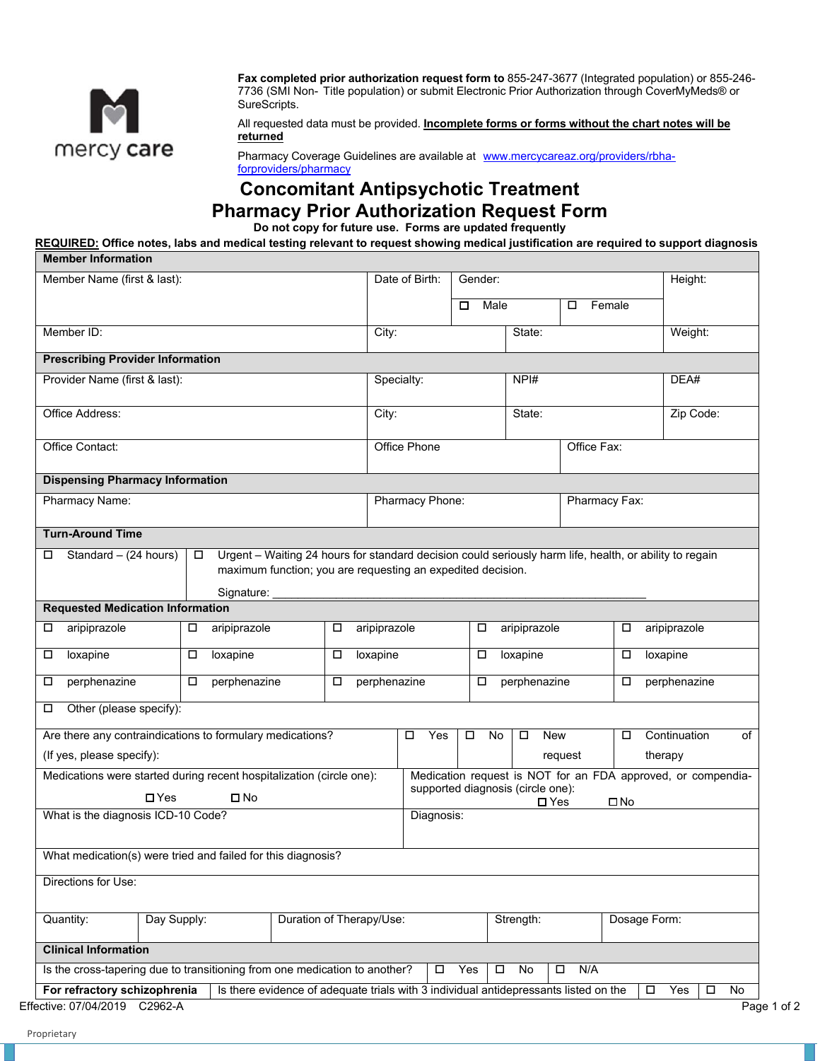

**Fax completed prior authorization request form to** 855-247-3677 (Integrated population) or 855-246- 7736 (SMI Non- Title population) or submit Electronic Prior Authorization through CoverMyMeds® or SureScripts.

All requested data must be provided. **Incomplete forms or forms without the chart notes will be returned** 

Pharmacy Coverage Guidelines are available at [www.mercycareaz.org/providers/rbha](http://www.mercycareaz.org/providers/rbha-forproviders/pharmacy)[forproviders/pharmacy](http://www.mercycareaz.org/providers/rbha-forproviders/pharmacy) 

## **Concomitant Antipsychotic Treatment Pharmacy Prior Authorization Request Form**

**Do not copy for future use. Forms are updated frequently** 

**REQUIRED: Office notes, labs and medical testing relevant to request showing medical justification are required to support diagnosis Member Information** 

| Member Name (first & last):                                                                          |                                                                                                                                                                                                |                          | Date of Birth:  | Gender: |                                   |                   |                    | Height:                                                      |  |  |
|------------------------------------------------------------------------------------------------------|------------------------------------------------------------------------------------------------------------------------------------------------------------------------------------------------|--------------------------|-----------------|---------|-----------------------------------|-------------------|--------------------|--------------------------------------------------------------|--|--|
|                                                                                                      |                                                                                                                                                                                                |                          |                 | □       | Male                              |                   | Female             |                                                              |  |  |
| Member ID:                                                                                           |                                                                                                                                                                                                |                          | City:           |         | State:                            |                   |                    | Weight:                                                      |  |  |
| <b>Prescribing Provider Information</b>                                                              |                                                                                                                                                                                                |                          |                 |         |                                   |                   |                    |                                                              |  |  |
| Provider Name (first & last):                                                                        |                                                                                                                                                                                                |                          | Specialty:      |         | NPH#                              |                   | DEA#               |                                                              |  |  |
| Office Address:                                                                                      |                                                                                                                                                                                                |                          | City:           |         |                                   |                   |                    | Zip Code:                                                    |  |  |
| Office Contact:                                                                                      |                                                                                                                                                                                                |                          | Office Phone    |         |                                   | Office Fax:       |                    |                                                              |  |  |
| <b>Dispensing Pharmacy Information</b>                                                               |                                                                                                                                                                                                |                          |                 |         |                                   |                   |                    |                                                              |  |  |
| <b>Pharmacy Name:</b>                                                                                |                                                                                                                                                                                                |                          | Pharmacy Phone: |         |                                   | Pharmacy Fax:     |                    |                                                              |  |  |
| <b>Turn-Around Time</b>                                                                              |                                                                                                                                                                                                |                          |                 |         |                                   |                   |                    |                                                              |  |  |
| Standard - (24 hours)<br>□                                                                           | Urgent - Waiting 24 hours for standard decision could seriously harm life, health, or ability to regain<br>$\Box$<br>maximum function; you are requesting an expedited decision.<br>Signature: |                          |                 |         |                                   |                   |                    |                                                              |  |  |
| <b>Requested Medication Information</b>                                                              |                                                                                                                                                                                                |                          |                 |         |                                   |                   |                    |                                                              |  |  |
| aripiprazole<br>□                                                                                    | aripiprazole                                                                                                                                                                                   | aripiprazole<br>□        |                 | □       | aripiprazole                      |                   | □                  | aripiprazole                                                 |  |  |
| loxapine<br>□                                                                                        | loxapine<br>0                                                                                                                                                                                  | loxapine<br>□            |                 | $\Box$  | loxapine                          |                   | loxapine<br>$\Box$ |                                                              |  |  |
| perphenazine<br>□                                                                                    | perphenazine<br>0                                                                                                                                                                              | perphenazine<br>□        |                 | $\Box$  | perphenazine                      |                   | perphenazine       |                                                              |  |  |
| Other (please specify):<br>□                                                                         |                                                                                                                                                                                                |                          |                 |         |                                   |                   |                    |                                                              |  |  |
|                                                                                                      |                                                                                                                                                                                                |                          | $\Box$<br>No    | $\Box$  | New                               | Continuation<br>□ |                    |                                                              |  |  |
|                                                                                                      |                                                                                                                                                                                                |                          | Yes<br>□        |         |                                   |                   |                    |                                                              |  |  |
|                                                                                                      |                                                                                                                                                                                                |                          |                 |         |                                   | request           |                    | therapy                                                      |  |  |
| Are there any contraindications to formulary medications?<br>(If yes, please specify):<br>$\Box$ Yes | Medications were started during recent hospitalization (circle one):<br>$\square$ No                                                                                                           |                          |                 |         | supported diagnosis (circle one): |                   |                    | Medication request is NOT for an FDA approved, or compendia- |  |  |
| What is the diagnosis ICD-10 Code?                                                                   |                                                                                                                                                                                                |                          | Diagnosis:      |         | $\square$ Yes                     |                   | □No                |                                                              |  |  |
|                                                                                                      | What medication(s) were tried and failed for this diagnosis?                                                                                                                                   |                          |                 |         |                                   |                   |                    |                                                              |  |  |
| Directions for Use:                                                                                  |                                                                                                                                                                                                |                          |                 |         |                                   |                   |                    |                                                              |  |  |
|                                                                                                      | Day Supply:                                                                                                                                                                                    | Duration of Therapy/Use: |                 |         | Strength:                         |                   | Dosage Form:       |                                                              |  |  |
| Quantity:<br><b>Clinical Information</b>                                                             |                                                                                                                                                                                                |                          |                 |         |                                   |                   |                    |                                                              |  |  |